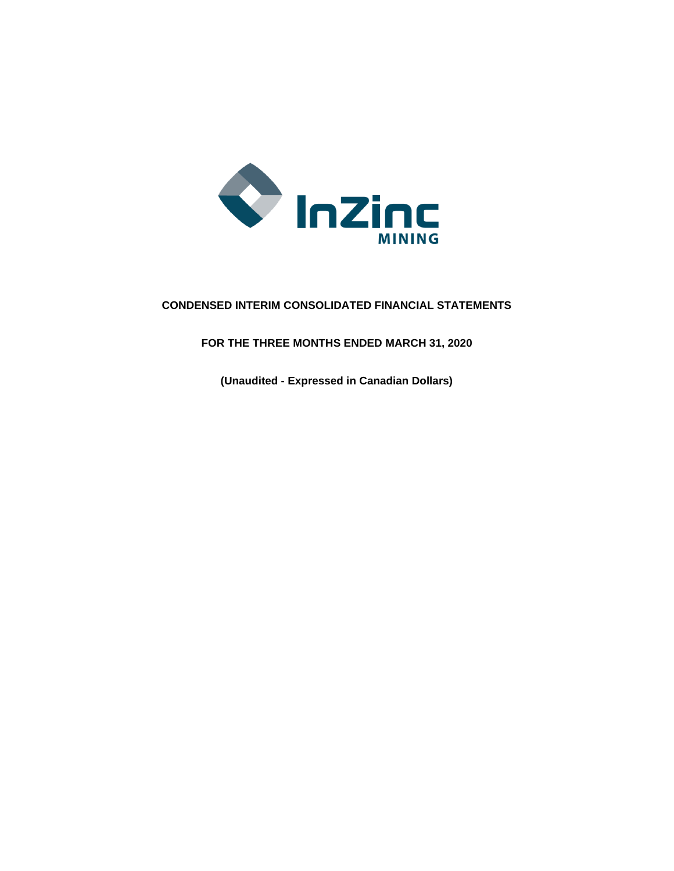

# **CONDENSED INTERIM CONSOLIDATED FINANCIAL STATEMENTS**

**FOR THE THREE MONTHS ENDED MARCH 31, 2020**

**(Unaudited - Expressed in Canadian Dollars)**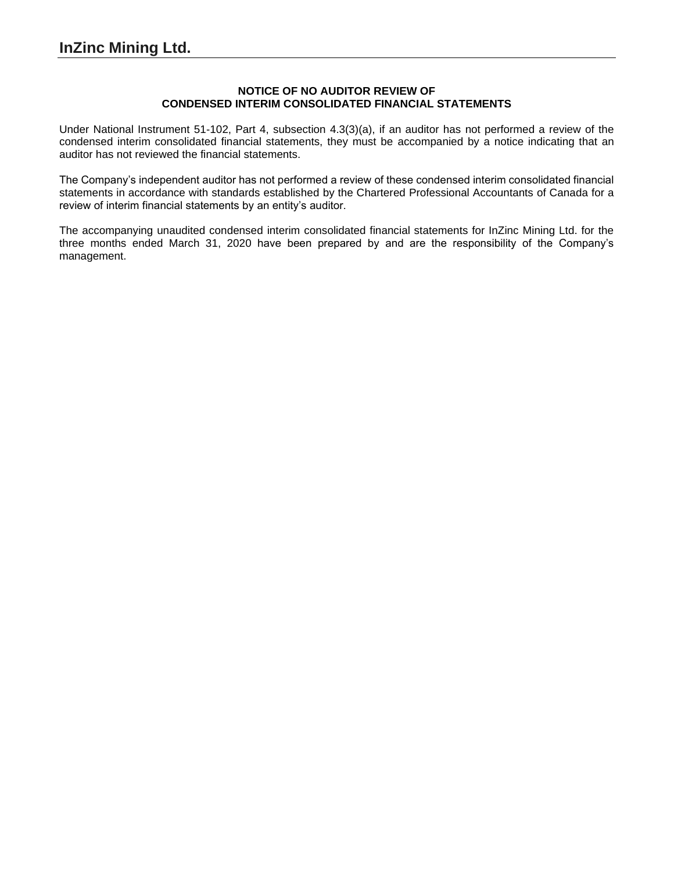### **NOTICE OF NO AUDITOR REVIEW OF CONDENSED INTERIM CONSOLIDATED FINANCIAL STATEMENTS**

Under National Instrument 51-102, Part 4, subsection 4.3(3)(a), if an auditor has not performed a review of the condensed interim consolidated financial statements, they must be accompanied by a notice indicating that an auditor has not reviewed the financial statements.

The Company's independent auditor has not performed a review of these condensed interim consolidated financial statements in accordance with standards established by the Chartered Professional Accountants of Canada for a review of interim financial statements by an entity's auditor.

The accompanying unaudited condensed interim consolidated financial statements for InZinc Mining Ltd. for the three months ended March 31, 2020 have been prepared by and are the responsibility of the Company's management.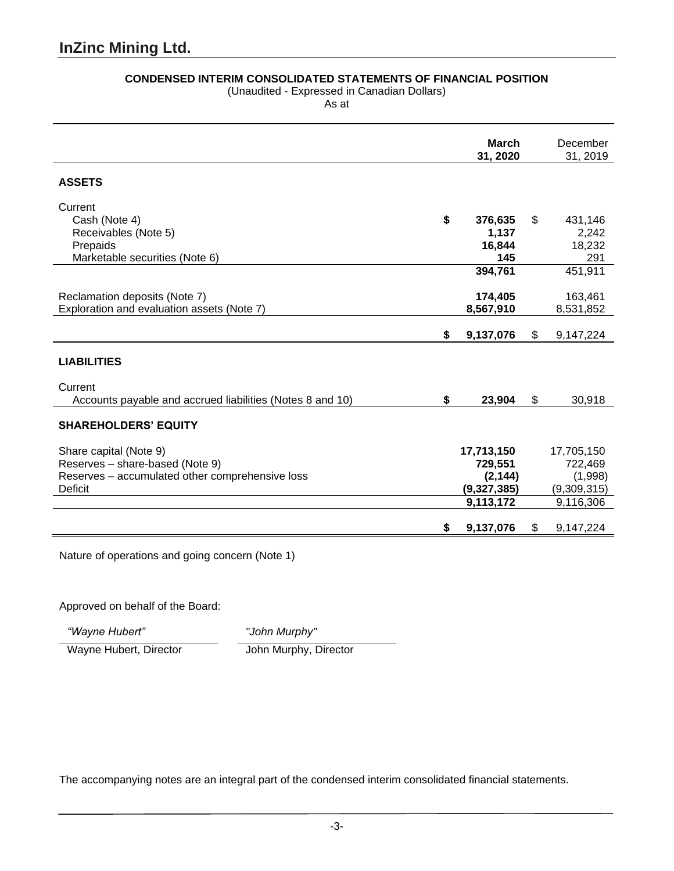# **CONDENSED INTERIM CONSOLIDATED STATEMENTS OF FINANCIAL POSITION**

(Unaudited - Expressed in Canadian Dollars)

As at

|                                                                                                                                | <b>March</b><br>31, 2020                                      | December<br>31, 2019                                         |
|--------------------------------------------------------------------------------------------------------------------------------|---------------------------------------------------------------|--------------------------------------------------------------|
| <b>ASSETS</b>                                                                                                                  |                                                               |                                                              |
| Current<br>Cash (Note 4)<br>Receivables (Note 5)<br>Prepaids<br>Marketable securities (Note 6)                                 | \$<br>376,635<br>1,137<br>16,844<br>145                       | \$<br>431,146<br>2,242<br>18,232<br>291                      |
| Reclamation deposits (Note 7)<br>Exploration and evaluation assets (Note 7)                                                    | 394,761<br>174,405<br>8,567,910                               | 451,911<br>163,461<br>8,531,852                              |
|                                                                                                                                | \$<br>9,137,076                                               | \$<br>9,147,224                                              |
| <b>LIABILITIES</b>                                                                                                             |                                                               |                                                              |
| Current<br>Accounts payable and accrued liabilities (Notes 8 and 10)                                                           | \$<br>23,904                                                  | \$<br>30,918                                                 |
| <b>SHAREHOLDERS' EQUITY</b>                                                                                                    |                                                               |                                                              |
| Share capital (Note 9)<br>Reserves - share-based (Note 9)<br>Reserves - accumulated other comprehensive loss<br><b>Deficit</b> | 17,713,150<br>729,551<br>(2, 144)<br>(9,327,385)<br>9,113,172 | 17,705,150<br>722,469<br>(1,998)<br>(9,309,315)<br>9,116,306 |
|                                                                                                                                | \$<br>9,137,076                                               | \$<br>9,147,224                                              |

Nature of operations and going concern (Note 1)

Approved on behalf of the Board:

*"Wayne Hubert" "John Murphy"*

Wayne Hubert, Director John Murphy, Director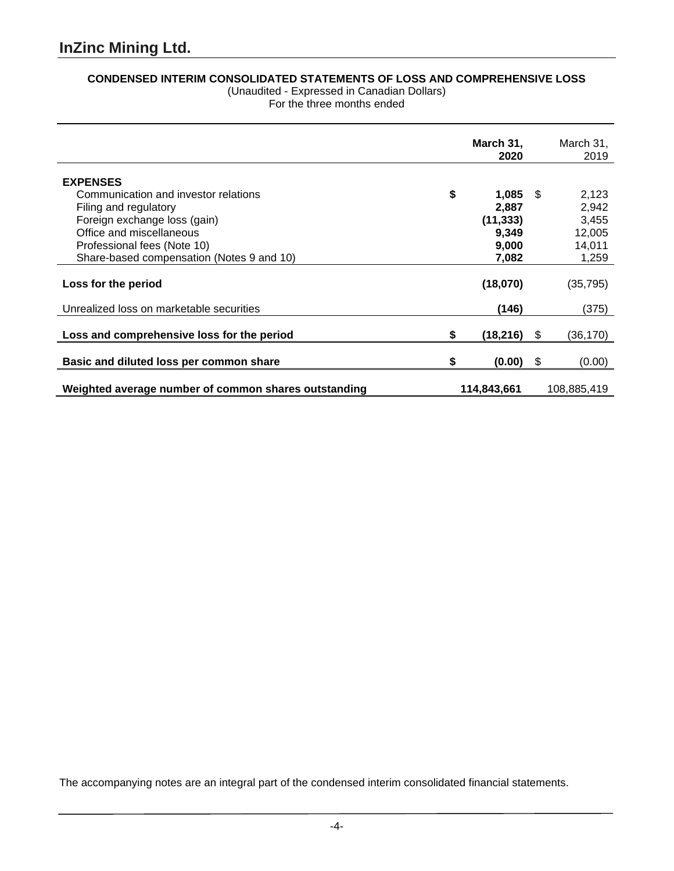# **CONDENSED INTERIM CONSOLIDATED STATEMENTS OF LOSS AND COMPREHENSIVE LOSS**

(Unaudited - Expressed in Canadian Dollars) For the three months ended

|                                                      |    | March 31,   | March 31,       |
|------------------------------------------------------|----|-------------|-----------------|
|                                                      |    | 2020        | 2019            |
|                                                      |    |             |                 |
| <b>EXPENSES</b>                                      |    |             |                 |
| Communication and investor relations                 | \$ | $1,085$ \$  | 2,123           |
| Filing and regulatory                                |    | 2,887       | 2,942           |
| Foreign exchange loss (gain)                         |    | (11, 333)   | 3,455           |
| Office and miscellaneous                             |    | 9,349       | 12,005          |
| Professional fees (Note 10)                          |    | 9,000       | 14,011          |
| Share-based compensation (Notes 9 and 10)            |    | 7,082       | 1,259           |
|                                                      |    |             |                 |
| Loss for the period                                  |    | (18,070)    | (35, 795)       |
|                                                      |    |             |                 |
| Unrealized loss on marketable securities             |    | (146)       | (375)           |
|                                                      |    |             |                 |
| Loss and comprehensive loss for the period           | S  | (18, 216)   | \$<br>(36, 170) |
|                                                      |    |             |                 |
| Basic and diluted loss per common share              | S  | $(0.00)$ \$ | (0.00)          |
|                                                      |    |             |                 |
| Weighted average number of common shares outstanding |    | 114,843,661 | 108,885,419     |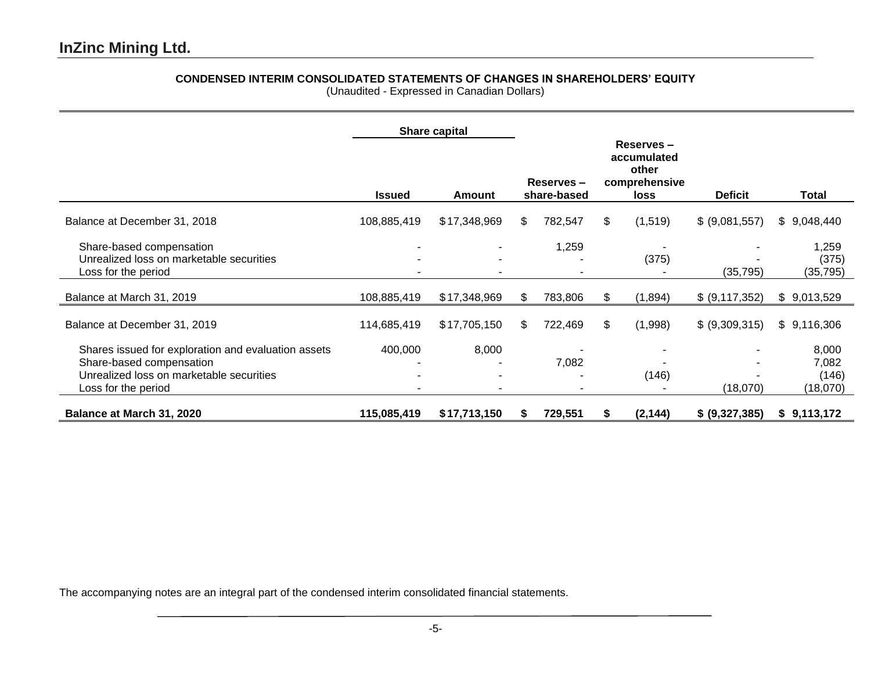# **CONDENSED INTERIM CONSOLIDATED STATEMENTS OF CHANGES IN SHAREHOLDERS' EQUITY**

(Unaudited - Expressed in Canadian Dollars)

|                                                                                                                                                    |               | Share capital |                          |         |                                                            |          |                |                                     |
|----------------------------------------------------------------------------------------------------------------------------------------------------|---------------|---------------|--------------------------|---------|------------------------------------------------------------|----------|----------------|-------------------------------------|
|                                                                                                                                                    | <b>Issued</b> | Amount        | Reserves-<br>share-based |         | Reserves-<br>accumulated<br>other<br>comprehensive<br>loss |          | <b>Deficit</b> | Total                               |
| Balance at December 31, 2018                                                                                                                       | 108,885,419   | \$17,348,969  | \$                       | 782,547 | \$                                                         | (1,519)  | \$ (9,081,557) | \$9,048,440                         |
| Share-based compensation<br>Unrealized loss on marketable securities<br>Loss for the period                                                        |               |               |                          | 1,259   |                                                            | (375)    | (35, 795)      | 1,259<br>(375)<br>(35, 795)         |
| Balance at March 31, 2019                                                                                                                          | 108,885,419   | \$17,348,969  | \$                       | 783,806 | \$                                                         | (1,894)  | \$ (9,117,352) | \$9,013,529                         |
| Balance at December 31, 2019                                                                                                                       | 114,685,419   | \$17,705,150  | \$                       | 722,469 | \$                                                         | (1,998)  | \$ (9,309,315) | \$9,116,306                         |
| Shares issued for exploration and evaluation assets<br>Share-based compensation<br>Unrealized loss on marketable securities<br>Loss for the period | 400,000       | 8,000         |                          | 7,082   |                                                            | (146)    | (18,070)       | 8,000<br>7,082<br>(146)<br>(18,070) |
| Balance at March 31, 2020                                                                                                                          | 115,085,419   | \$17,713,150  |                          | 729,551 | S                                                          | (2, 144) | \$ (9,327,385) | \$9,113,172                         |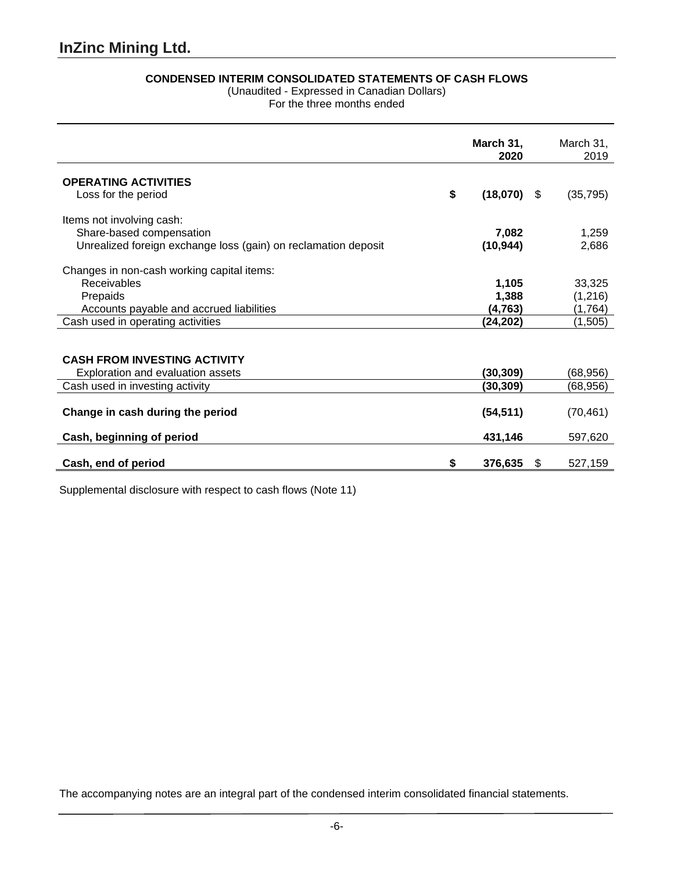# **CONDENSED INTERIM CONSOLIDATED STATEMENTS OF CASH FLOWS**

(Unaudited - Expressed in Canadian Dollars)

For the three months ended

|                                                                | March 31,<br>2020   |   | March 31,<br>2019 |
|----------------------------------------------------------------|---------------------|---|-------------------|
| <b>OPERATING ACTIVITIES</b>                                    |                     |   |                   |
| Loss for the period                                            | \$<br>$(18,070)$ \$ |   | (35, 795)         |
| Items not involving cash:                                      |                     |   |                   |
| Share-based compensation                                       | 7,082               |   | 1,259             |
| Unrealized foreign exchange loss (gain) on reclamation deposit | (10, 944)           |   | 2,686             |
| Changes in non-cash working capital items:                     |                     |   |                   |
| Receivables                                                    | 1,105               |   | 33,325            |
| Prepaids                                                       | 1,388               |   | (1,216)           |
| Accounts payable and accrued liabilities                       | (4, 763)            |   | (1,764)           |
| Cash used in operating activities                              | (24, 202)           |   | (1,505)           |
|                                                                |                     |   |                   |
| <b>CASH FROM INVESTING ACTIVITY</b>                            |                     |   |                   |
| Exploration and evaluation assets                              | (30, 309)           |   | (68,956)          |
| Cash used in investing activity                                | (30, 309)           |   | (68,956)          |
|                                                                |                     |   |                   |
| Change in cash during the period                               | (54, 511)           |   | (70, 461)         |
| Cash, beginning of period                                      | 431,146             |   | 597,620           |
|                                                                |                     |   |                   |
| Cash, end of period                                            | \$<br>376,635       | S | 527,159           |

Supplemental disclosure with respect to cash flows (Note 11)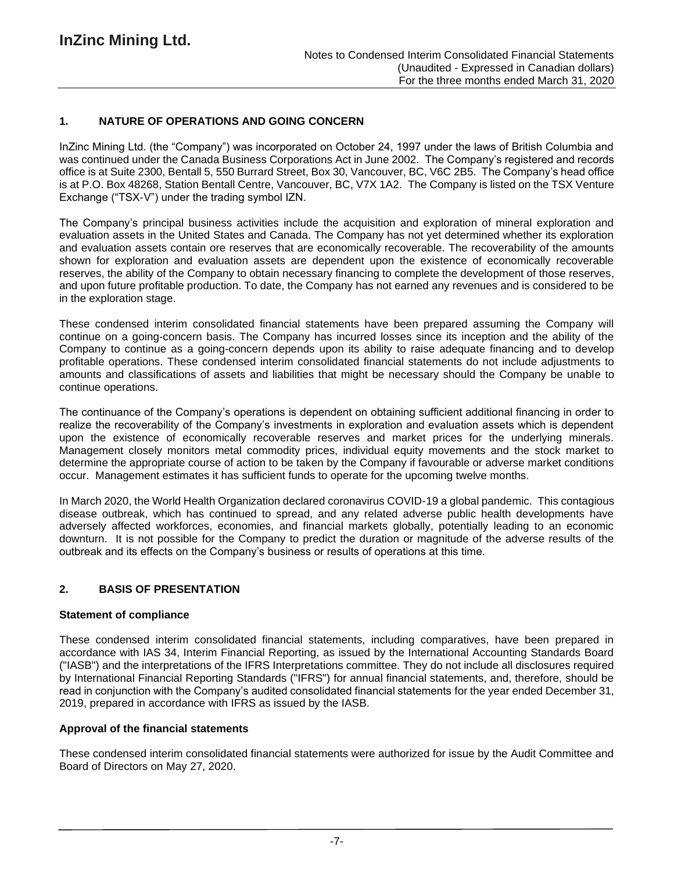# **1. NATURE OF OPERATIONS AND GOING CONCERN**

InZinc Mining Ltd. (the "Company") was incorporated on October 24, 1997 under the laws of British Columbia and was continued under the Canada Business Corporations Act in June 2002. The Company's registered and records office is at Suite 2300, Bentall 5, 550 Burrard Street, Box 30, Vancouver, BC, V6C 2B5. The Company's head office is at P.O. Box 48268, Station Bentall Centre, Vancouver, BC, V7X 1A2. The Company is listed on the TSX Venture Exchange ("TSX-V") under the trading symbol IZN.

The Company's principal business activities include the acquisition and exploration of mineral exploration and evaluation assets in the United States and Canada. The Company has not yet determined whether its exploration and evaluation assets contain ore reserves that are economically recoverable. The recoverability of the amounts shown for exploration and evaluation assets are dependent upon the existence of economically recoverable reserves, the ability of the Company to obtain necessary financing to complete the development of those reserves, and upon future profitable production. To date, the Company has not earned any revenues and is considered to be in the exploration stage.

These condensed interim consolidated financial statements have been prepared assuming the Company will continue on a going-concern basis. The Company has incurred losses since its inception and the ability of the Company to continue as a going-concern depends upon its ability to raise adequate financing and to develop profitable operations. These condensed interim consolidated financial statements do not include adjustments to amounts and classifications of assets and liabilities that might be necessary should the Company be unable to continue operations.

The continuance of the Company's operations is dependent on obtaining sufficient additional financing in order to realize the recoverability of the Company's investments in exploration and evaluation assets which is dependent upon the existence of economically recoverable reserves and market prices for the underlying minerals. Management closely monitors metal commodity prices, individual equity movements and the stock market to determine the appropriate course of action to be taken by the Company if favourable or adverse market conditions occur. Management estimates it has sufficient funds to operate for the upcoming twelve months.

In March 2020, the World Health Organization declared coronavirus COVID-19 a global pandemic. This contagious disease outbreak, which has continued to spread, and any related adverse public health developments have adversely affected workforces, economies, and financial markets globally, potentially leading to an economic downturn. It is not possible for the Company to predict the duration or magnitude of the adverse results of the outbreak and its effects on the Company's business or results of operations at this time.

# **2. BASIS OF PRESENTATION**

#### **Statement of compliance**

These condensed interim consolidated financial statements, including comparatives, have been prepared in accordance with IAS 34, Interim Financial Reporting, as issued by the International Accounting Standards Board ("IASB") and the interpretations of the IFRS Interpretations committee. They do not include all disclosures required by International Financial Reporting Standards ("IFRS") for annual financial statements, and, therefore, should be read in conjunction with the Company's audited consolidated financial statements for the year ended December 31, 2019, prepared in accordance with IFRS as issued by the IASB.

#### **Approval of the financial statements**

These condensed interim consolidated financial statements were authorized for issue by the Audit Committee and Board of Directors on May 27, 2020.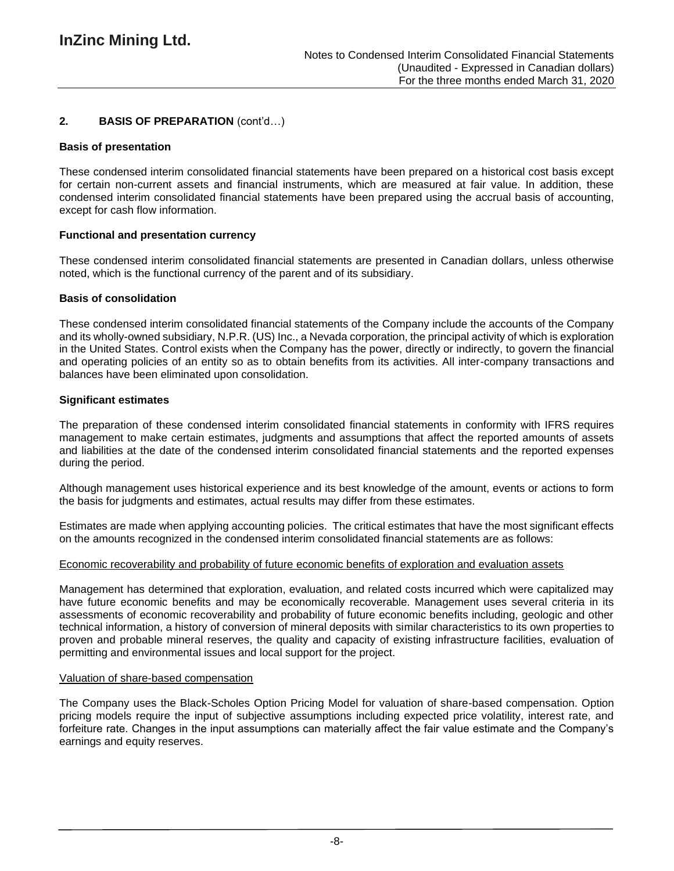# **2. BASIS OF PREPARATION** (cont'd…)

#### **Basis of presentation**

These condensed interim consolidated financial statements have been prepared on a historical cost basis except for certain non-current assets and financial instruments, which are measured at fair value. In addition, these condensed interim consolidated financial statements have been prepared using the accrual basis of accounting, except for cash flow information.

# **Functional and presentation currency**

These condensed interim consolidated financial statements are presented in Canadian dollars, unless otherwise noted, which is the functional currency of the parent and of its subsidiary.

### **Basis of consolidation**

These condensed interim consolidated financial statements of the Company include the accounts of the Company and its wholly-owned subsidiary, N.P.R. (US) Inc., a Nevada corporation, the principal activity of which is exploration in the United States. Control exists when the Company has the power, directly or indirectly, to govern the financial and operating policies of an entity so as to obtain benefits from its activities. All inter-company transactions and balances have been eliminated upon consolidation.

### **Significant estimates**

The preparation of these condensed interim consolidated financial statements in conformity with IFRS requires management to make certain estimates, judgments and assumptions that affect the reported amounts of assets and liabilities at the date of the condensed interim consolidated financial statements and the reported expenses during the period.

Although management uses historical experience and its best knowledge of the amount, events or actions to form the basis for judgments and estimates, actual results may differ from these estimates.

Estimates are made when applying accounting policies. The critical estimates that have the most significant effects on the amounts recognized in the condensed interim consolidated financial statements are as follows:

#### Economic recoverability and probability of future economic benefits of exploration and evaluation assets

Management has determined that exploration, evaluation, and related costs incurred which were capitalized may have future economic benefits and may be economically recoverable. Management uses several criteria in its assessments of economic recoverability and probability of future economic benefits including, geologic and other technical information, a history of conversion of mineral deposits with similar characteristics to its own properties to proven and probable mineral reserves, the quality and capacity of existing infrastructure facilities, evaluation of permitting and environmental issues and local support for the project.

### Valuation of share-based compensation

The Company uses the Black-Scholes Option Pricing Model for valuation of share-based compensation. Option pricing models require the input of subjective assumptions including expected price volatility, interest rate, and forfeiture rate. Changes in the input assumptions can materially affect the fair value estimate and the Company's earnings and equity reserves.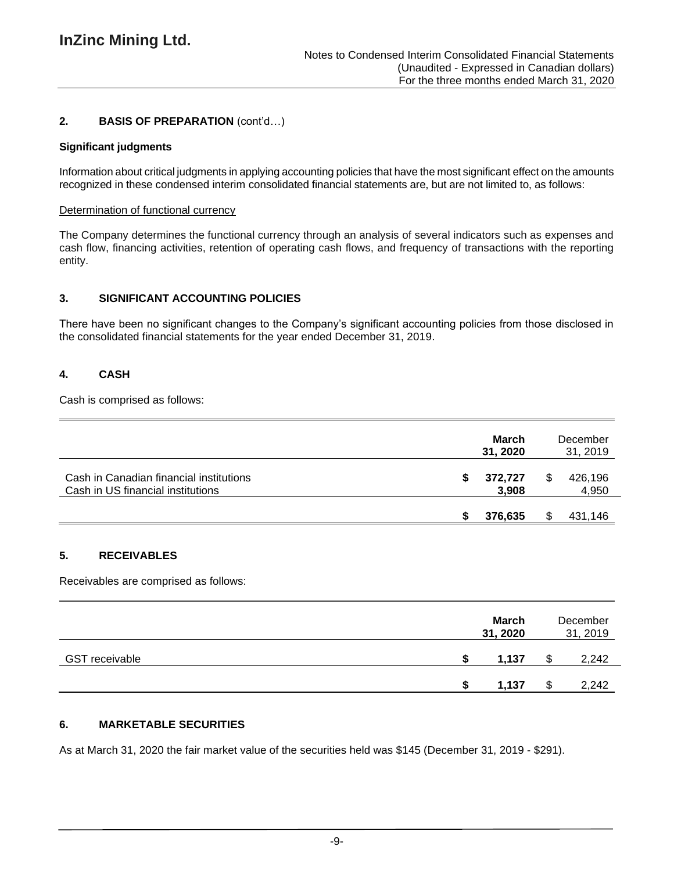# **2. BASIS OF PREPARATION** (cont'd…)

### **Significant judgments**

Information about critical judgments in applying accounting policies that have the most significant effect on the amounts recognized in these condensed interim consolidated financial statements are, but are not limited to, as follows:

### Determination of functional currency

The Company determines the functional currency through an analysis of several indicators such as expenses and cash flow, financing activities, retention of operating cash flows, and frequency of transactions with the reporting entity.

# **3. SIGNIFICANT ACCOUNTING POLICIES**

There have been no significant changes to the Company's significant accounting policies from those disclosed in the consolidated financial statements for the year ended December 31, 2019.

# **4. CASH**

Cash is comprised as follows:

|                                                                              | March<br>31, 2020 |   | December<br>31, 2019 |
|------------------------------------------------------------------------------|-------------------|---|----------------------|
| Cash in Canadian financial institutions<br>Cash in US financial institutions | 372,727<br>3,908  | S | 426,196<br>4,950     |
|                                                                              | 376,635           |   | 431,146              |

# **5. RECEIVABLES**

Receivables are comprised as follows:

|                       | <b>March</b><br>31, 2020 | December<br>31, 2019 |
|-----------------------|--------------------------|----------------------|
| <b>GST receivable</b> | 1,137                    | 2,242                |
|                       | 1.137                    | 2,242                |

# **6. MARKETABLE SECURITIES**

As at March 31, 2020 the fair market value of the securities held was \$145 (December 31, 2019 - \$291).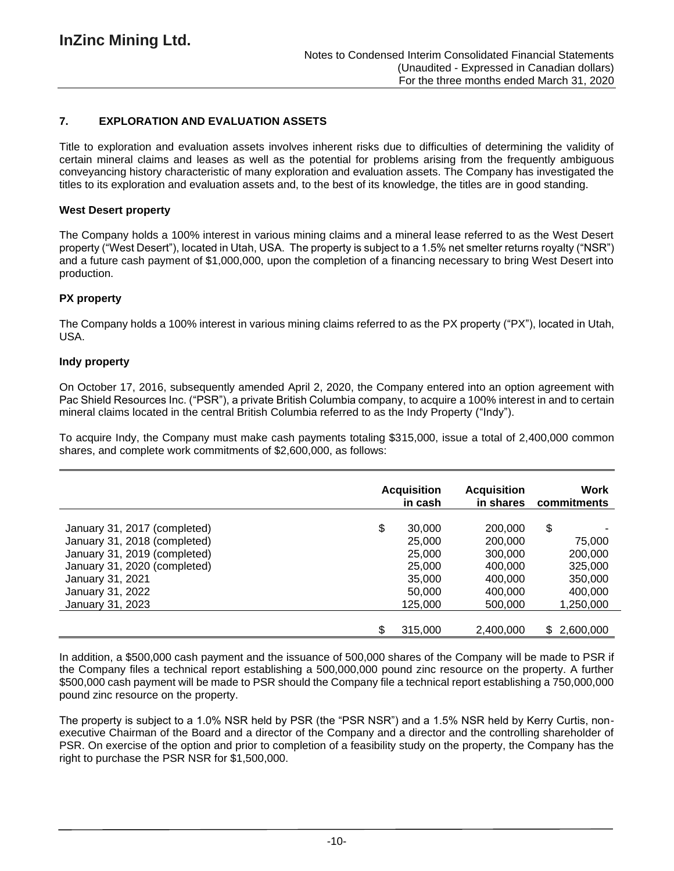# **7. EXPLORATION AND EVALUATION ASSETS**

Title to exploration and evaluation assets involves inherent risks due to difficulties of determining the validity of certain mineral claims and leases as well as the potential for problems arising from the frequently ambiguous conveyancing history characteristic of many exploration and evaluation assets. The Company has investigated the titles to its exploration and evaluation assets and, to the best of its knowledge, the titles are in good standing.

#### **West Desert property**

The Company holds a 100% interest in various mining claims and a mineral lease referred to as the West Desert property ("West Desert"), located in Utah, USA. The property is subject to a 1.5% net smelter returns royalty ("NSR") and a future cash payment of \$1,000,000, upon the completion of a financing necessary to bring West Desert into production.

### **PX property**

The Company holds a 100% interest in various mining claims referred to as the PX property ("PX"), located in Utah, USA.

#### **Indy property**

On October 17, 2016, subsequently amended April 2, 2020, the Company entered into an option agreement with Pac Shield Resources Inc. ("PSR"), a private British Columbia company, to acquire a 100% interest in and to certain mineral claims located in the central British Columbia referred to as the Indy Property ("Indy").

To acquire Indy, the Company must make cash payments totaling \$315,000, issue a total of 2,400,000 common shares, and complete work commitments of \$2,600,000, as follows:

|                              | <b>Acquisition</b><br>in cash | <b>Acquisition</b><br>in shares | Work<br>commitments |
|------------------------------|-------------------------------|---------------------------------|---------------------|
| January 31, 2017 (completed) | \$<br>30,000                  | 200,000                         | \$                  |
| January 31, 2018 (completed) | 25,000                        | 200,000                         | 75,000              |
| January 31, 2019 (completed) | 25,000                        | 300,000                         | 200,000             |
| January 31, 2020 (completed) | 25,000                        | 400,000                         | 325,000             |
| January 31, 2021             | 35,000                        | 400,000                         | 350,000             |
| January 31, 2022             | 50,000                        | 400.000                         | 400,000             |
| January 31, 2023             | 125,000                       | 500,000                         | 1,250,000           |
|                              | \$<br>315,000                 | 2,400,000                       | 2,600,000<br>S.     |

In addition, a \$500,000 cash payment and the issuance of 500,000 shares of the Company will be made to PSR if the Company files a technical report establishing a 500,000,000 pound zinc resource on the property. A further \$500,000 cash payment will be made to PSR should the Company file a technical report establishing a 750,000,000 pound zinc resource on the property.

The property is subject to a 1.0% NSR held by PSR (the "PSR NSR") and a 1.5% NSR held by Kerry Curtis, nonexecutive Chairman of the Board and a director of the Company and a director and the controlling shareholder of PSR. On exercise of the option and prior to completion of a feasibility study on the property, the Company has the right to purchase the PSR NSR for \$1,500,000.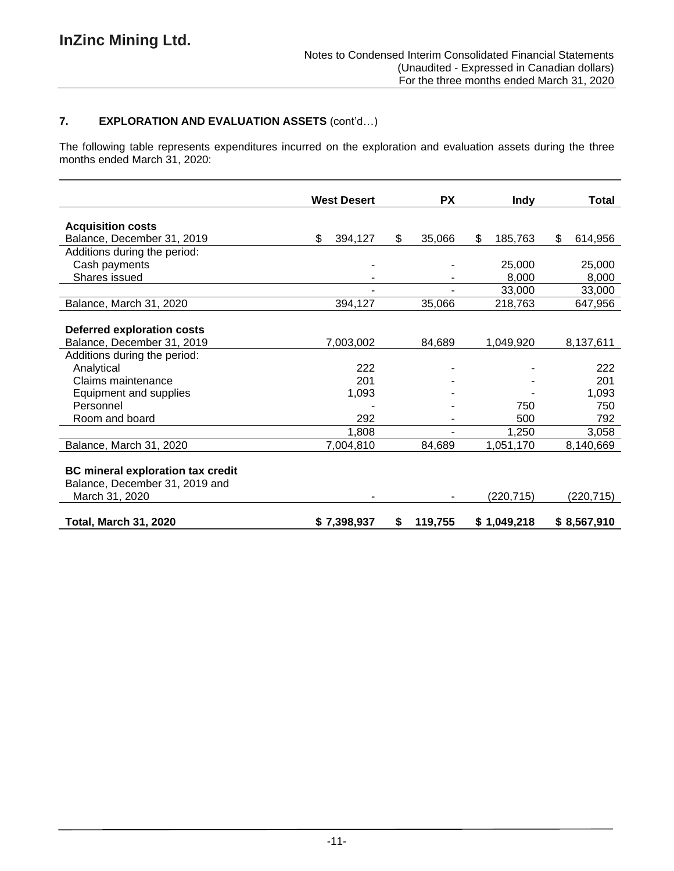# **7. EXPLORATION AND EVALUATION ASSETS** (cont'd…)

The following table represents expenditures incurred on the exploration and evaluation assets during the three months ended March 31, 2020:

|                                                                                              | <b>West Desert</b> | <b>PX</b>    | <b>Indy</b>   | Total         |
|----------------------------------------------------------------------------------------------|--------------------|--------------|---------------|---------------|
| <b>Acquisition costs</b>                                                                     |                    |              |               |               |
| Balance, December 31, 2019                                                                   | \$<br>394,127      | 35,066<br>\$ | \$<br>185,763 | \$<br>614,956 |
| Additions during the period:                                                                 |                    |              |               |               |
| Cash payments                                                                                |                    |              | 25,000        | 25,000        |
| Shares issued                                                                                |                    |              | 8,000         | 8,000         |
|                                                                                              |                    |              | 33,000        | 33,000        |
| Balance, March 31, 2020                                                                      | 394,127            | 35,066       | 218,763       | 647,956       |
| Deferred exploration costs                                                                   |                    |              |               |               |
| Balance, December 31, 2019                                                                   | 7,003,002          | 84,689       | 1,049,920     | 8,137,611     |
| Additions during the period:                                                                 |                    |              |               |               |
| Analytical                                                                                   | 222                |              |               | 222           |
| Claims maintenance                                                                           | 201                |              |               | 201           |
| Equipment and supplies                                                                       | 1,093              |              |               | 1,093         |
| Personnel                                                                                    |                    |              | 750           | 750           |
| Room and board                                                                               | 292                |              | 500           | 792           |
|                                                                                              | 1,808              |              | 1,250         | 3,058         |
| Balance, March 31, 2020                                                                      | 7,004,810          | 84,689       | 1,051,170     | 8,140,669     |
| <b>BC</b> mineral exploration tax credit<br>Balance, December 31, 2019 and<br>March 31, 2020 |                    |              | (220, 715)    | (220,715)     |
| <b>Total, March 31, 2020</b>                                                                 | \$7,398,937        | 119,755<br>S | \$1,049,218   | \$8,567,910   |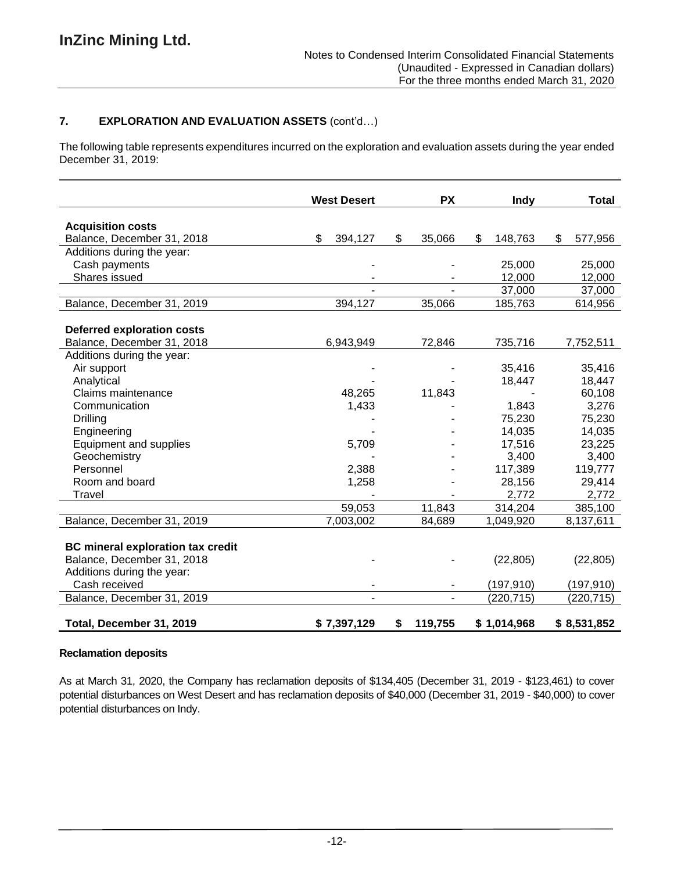# **7. EXPLORATION AND EVALUATION ASSETS** (cont'd…)

The following table represents expenditures incurred on the exploration and evaluation assets during the year ended December 31, 2019:

|                                          | <b>West Desert</b> | <b>PX</b>     | Indy          | Total         |
|------------------------------------------|--------------------|---------------|---------------|---------------|
| <b>Acquisition costs</b>                 |                    |               |               |               |
| Balance, December 31, 2018               | \$<br>394,127      | \$<br>35,066  | \$<br>148,763 | \$<br>577,956 |
| Additions during the year:               |                    |               |               |               |
| Cash payments                            |                    |               | 25,000        | 25,000        |
| Shares issued                            |                    |               | 12,000        | 12,000        |
|                                          |                    |               | 37,000        | 37,000        |
| Balance, December 31, 2019               | 394,127            | 35,066        | 185,763       | 614,956       |
|                                          |                    |               |               |               |
| <b>Deferred exploration costs</b>        |                    |               |               |               |
| Balance, December 31, 2018               | 6,943,949          | 72,846        | 735,716       | 7,752,511     |
| Additions during the year:               |                    |               |               |               |
| Air support                              |                    |               | 35,416        | 35,416        |
| Analytical                               |                    |               | 18,447        | 18,447        |
| Claims maintenance                       | 48,265             | 11,843        |               | 60,108        |
| Communication                            | 1,433              |               | 1,843         | 3,276         |
| Drilling                                 |                    |               | 75,230        | 75,230        |
| Engineering                              |                    |               | 14,035        | 14,035        |
| <b>Equipment and supplies</b>            | 5,709              |               | 17,516        | 23,225        |
| Geochemistry                             |                    |               | 3,400         | 3,400         |
| Personnel                                | 2,388              |               | 117,389       | 119,777       |
| Room and board                           | 1,258              |               | 28,156        | 29,414        |
| Travel                                   |                    |               | 2,772         | 2,772         |
|                                          | 59,053             | 11,843        | 314,204       | 385,100       |
| Balance, December 31, 2019               | 7,003,002          | 84,689        | 1,049,920     | 8,137,611     |
|                                          |                    |               |               |               |
| <b>BC mineral exploration tax credit</b> |                    |               |               |               |
| Balance, December 31, 2018               |                    |               | (22, 805)     | (22, 805)     |
| Additions during the year:               |                    |               |               |               |
| Cash received                            |                    |               | (197, 910)    | (197, 910)    |
| Balance, December 31, 2019               |                    |               | (220, 715)    | (220, 715)    |
| Total, December 31, 2019                 | \$7,397,129        | \$<br>119,755 | \$1,014,968   | \$8,531,852   |

#### **Reclamation deposits**

As at March 31, 2020, the Company has reclamation deposits of \$134,405 (December 31, 2019 - \$123,461) to cover potential disturbances on West Desert and has reclamation deposits of \$40,000 (December 31, 2019 - \$40,000) to cover potential disturbances on Indy.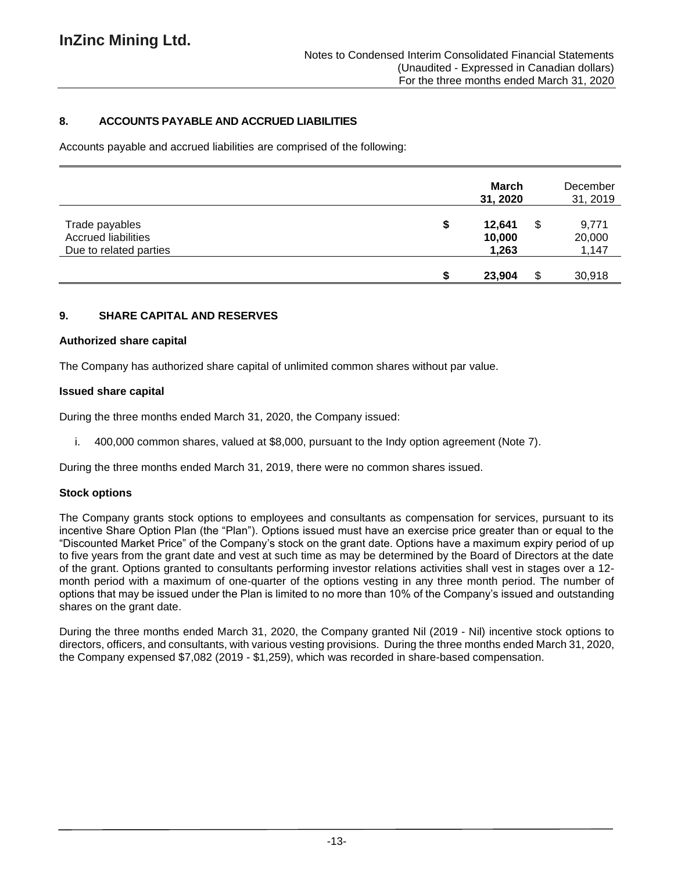# **8. ACCOUNTS PAYABLE AND ACCRUED LIABILITIES**

Accounts payable and accrued liabilities are comprised of the following:

|                                                                        |   | March<br>31, 2020         |     | December<br>31, 2019     |
|------------------------------------------------------------------------|---|---------------------------|-----|--------------------------|
| Trade payables<br><b>Accrued liabilities</b><br>Due to related parties | S | 12,641<br>10,000<br>1,263 | \$  | 9,771<br>20,000<br>1,147 |
|                                                                        |   | 23,904                    | \$. | 30,918                   |

### **9. SHARE CAPITAL AND RESERVES**

#### **Authorized share capital**

The Company has authorized share capital of unlimited common shares without par value.

#### **Issued share capital**

During the three months ended March 31, 2020, the Company issued:

i. 400,000 common shares, valued at \$8,000, pursuant to the Indy option agreement (Note 7).

During the three months ended March 31, 2019, there were no common shares issued.

#### **Stock options**

The Company grants stock options to employees and consultants as compensation for services, pursuant to its incentive Share Option Plan (the "Plan"). Options issued must have an exercise price greater than or equal to the "Discounted Market Price" of the Company's stock on the grant date. Options have a maximum expiry period of up to five years from the grant date and vest at such time as may be determined by the Board of Directors at the date of the grant. Options granted to consultants performing investor relations activities shall vest in stages over a 12 month period with a maximum of one-quarter of the options vesting in any three month period. The number of options that may be issued under the Plan is limited to no more than 10% of the Company's issued and outstanding shares on the grant date.

During the three months ended March 31, 2020, the Company granted Nil (2019 - Nil) incentive stock options to directors, officers, and consultants, with various vesting provisions. During the three months ended March 31, 2020, the Company expensed \$7,082 (2019 - \$1,259), which was recorded in share-based compensation.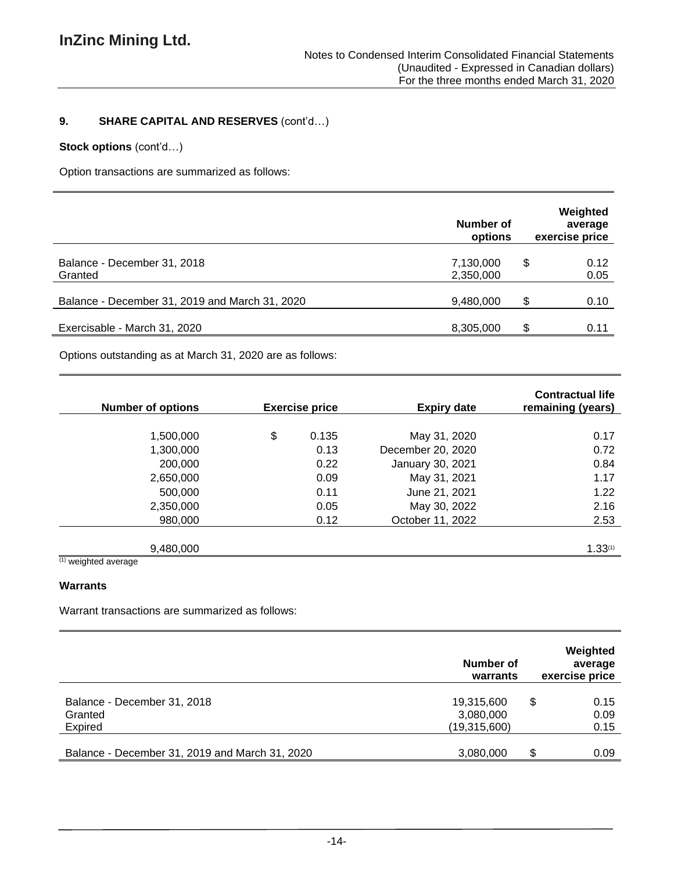# **9. SHARE CAPITAL AND RESERVES** (cont'd…)

# **Stock options** (cont'd…)

Option transactions are summarized as follows:

|                                                | Number of<br>options   |     | Weighted<br>average<br>exercise price |
|------------------------------------------------|------------------------|-----|---------------------------------------|
| Balance - December 31, 2018<br>Granted         | 7,130,000<br>2,350,000 | \$  | 0.12<br>0.05                          |
| Balance - December 31, 2019 and March 31, 2020 | 9,480,000              | \$. | 0.10                                  |
| Exercisable - March 31, 2020                   | 8,305,000              | \$  | 0.11                                  |

Options outstanding as at March 31, 2020 are as follows:

| <b>Number of options</b> | <b>Exercise price</b> | <b>Expiry date</b> | <b>Contractual life</b><br>remaining (years) |
|--------------------------|-----------------------|--------------------|----------------------------------------------|
|                          |                       |                    |                                              |
| 1,500,000                | \$<br>0.135           | May 31, 2020       | 0.17                                         |
| 1,300,000                | 0.13                  | December 20, 2020  | 0.72                                         |
| 200,000                  | 0.22                  | January 30, 2021   | 0.84                                         |
| 2,650,000                | 0.09                  | May 31, 2021       | 1.17                                         |
| 500,000                  | 0.11                  | June 21, 2021      | 1.22                                         |
| 2,350,000                | 0.05                  | May 30, 2022       | 2.16                                         |
| 980,000                  | 0.12                  | October 11, 2022   | 2.53                                         |
|                          |                       |                    |                                              |
| 9,480,000                |                       |                    | 1.33(1)                                      |

(1) weighted average

### **Warrants**

Warrant transactions are summarized as follows:

|                                                   | Number of<br>warrants                   | Weighted<br>average<br>exercise price |
|---------------------------------------------------|-----------------------------------------|---------------------------------------|
| Balance - December 31, 2018<br>Granted<br>Expired | 19,315,600<br>3,080,000<br>(19,315,600) | \$<br>0.15<br>0.09<br>0.15            |
| Balance - December 31, 2019 and March 31, 2020    | 3,080,000                               | S<br>0.09                             |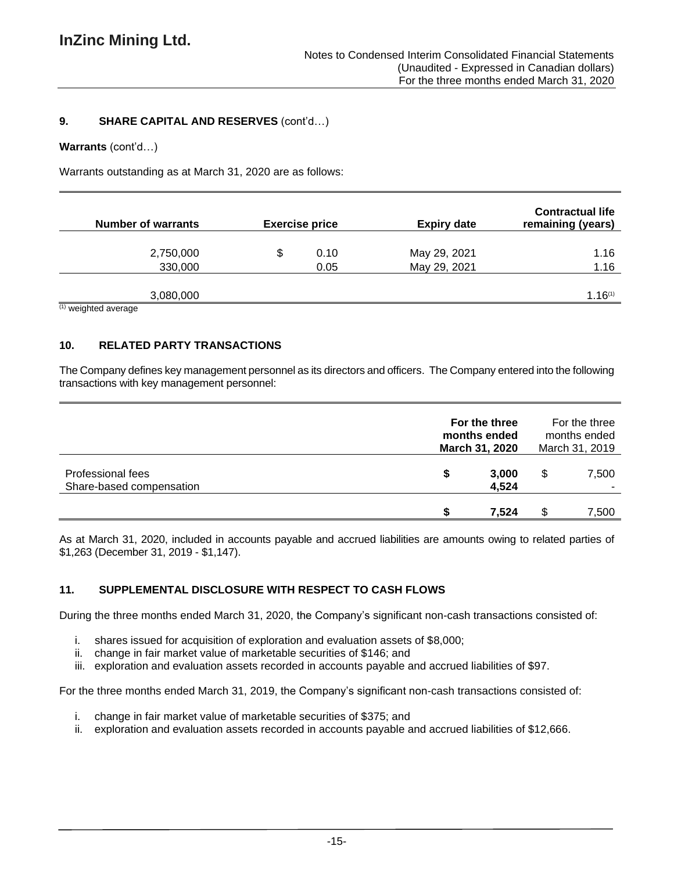### **9. SHARE CAPITAL AND RESERVES** (cont'd…)

#### **Warrants** (cont'd…)

Warrants outstanding as at March 31, 2020 are as follows:

| <b>Number of warrants</b>             | <b>Exercise price</b> | <b>Expiry date</b> | <b>Contractual life</b><br>remaining (years) |
|---------------------------------------|-----------------------|--------------------|----------------------------------------------|
|                                       |                       |                    |                                              |
| 2,750,000                             | \$<br>0.10            | May 29, 2021       | 1.16                                         |
| 330,000                               | 0.05                  | May 29, 2021       | 1.16                                         |
|                                       |                       |                    |                                              |
| 3,080,000                             |                       |                    | $1.16^{(1)}$                                 |
| $(1)$ and also all second as $\alpha$ |                       |                    |                                              |

(1) weighted average

# **10. RELATED PARTY TRANSACTIONS**

The Company defines key management personnel as its directors and officers. The Company entered into the following transactions with key management personnel:

|                                               | For the three<br>months ended<br>March 31, 2020 |                |    | For the three<br>months ended<br>March 31, 2019 |
|-----------------------------------------------|-------------------------------------------------|----------------|----|-------------------------------------------------|
| Professional fees<br>Share-based compensation | S                                               | 3,000<br>4,524 |    | 7,500                                           |
|                                               |                                                 | 7.524          | J. | 7,500                                           |

As at March 31, 2020, included in accounts payable and accrued liabilities are amounts owing to related parties of \$1,263 (December 31, 2019 - \$1,147).

# **11. SUPPLEMENTAL DISCLOSURE WITH RESPECT TO CASH FLOWS**

During the three months ended March 31, 2020, the Company's significant non-cash transactions consisted of:

- i. shares issued for acquisition of exploration and evaluation assets of \$8,000;
- ii. change in fair market value of marketable securities of \$146; and
- iii. exploration and evaluation assets recorded in accounts payable and accrued liabilities of \$97.

For the three months ended March 31, 2019, the Company's significant non-cash transactions consisted of:

- i. change in fair market value of marketable securities of \$375; and
- ii. exploration and evaluation assets recorded in accounts payable and accrued liabilities of \$12,666.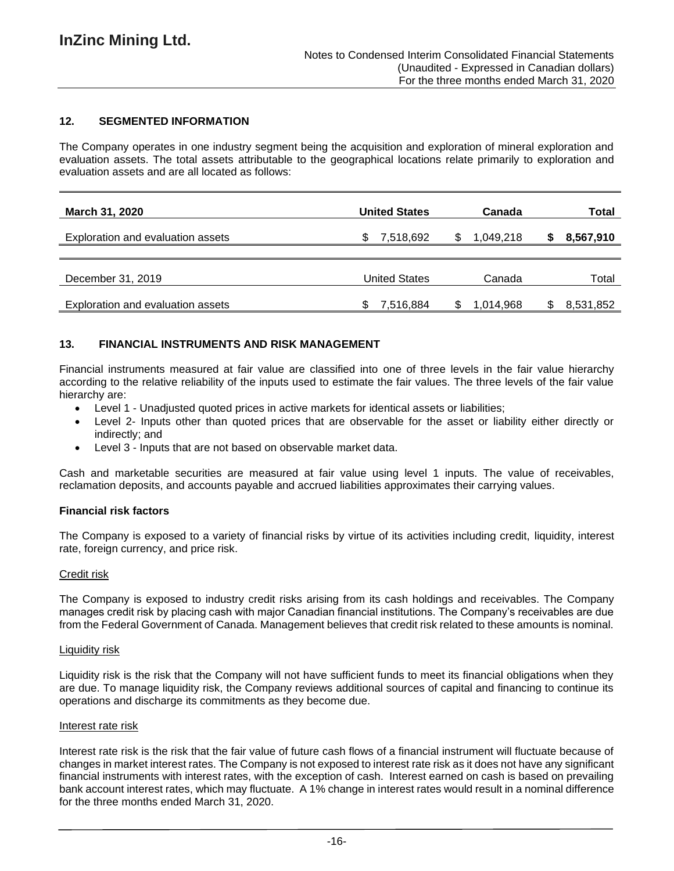# **12. SEGMENTED INFORMATION**

The Company operates in one industry segment being the acquisition and exploration of mineral exploration and evaluation assets. The total assets attributable to the geographical locations relate primarily to exploration and evaluation assets and are all located as follows:

| <b>March 31, 2020</b>             | <b>United States</b> | Canada          | Total     |
|-----------------------------------|----------------------|-----------------|-----------|
| Exploration and evaluation assets | 7,518,692<br>S       | 1,049,218<br>S. | 8,567,910 |
| December 31, 2019                 | <b>United States</b> | Canada          | Total     |
| Exploration and evaluation assets | 7,516,884<br>S.      | 1,014,968       | 8,531,852 |

### **13. FINANCIAL INSTRUMENTS AND RISK MANAGEMENT**

Financial instruments measured at fair value are classified into one of three levels in the fair value hierarchy according to the relative reliability of the inputs used to estimate the fair values. The three levels of the fair value hierarchy are:

- Level 1 Unadjusted quoted prices in active markets for identical assets or liabilities;
- Level 2- Inputs other than quoted prices that are observable for the asset or liability either directly or indirectly; and
- Level 3 Inputs that are not based on observable market data.

Cash and marketable securities are measured at fair value using level 1 inputs. The value of receivables, reclamation deposits, and accounts payable and accrued liabilities approximates their carrying values.

#### **Financial risk factors**

The Company is exposed to a variety of financial risks by virtue of its activities including credit, liquidity, interest rate, foreign currency, and price risk.

#### Credit risk

The Company is exposed to industry credit risks arising from its cash holdings and receivables. The Company manages credit risk by placing cash with major Canadian financial institutions. The Company's receivables are due from the Federal Government of Canada. Management believes that credit risk related to these amounts is nominal.

#### Liquidity risk

Liquidity risk is the risk that the Company will not have sufficient funds to meet its financial obligations when they are due. To manage liquidity risk, the Company reviews additional sources of capital and financing to continue its operations and discharge its commitments as they become due.

#### Interest rate risk

Interest rate risk is the risk that the fair value of future cash flows of a financial instrument will fluctuate because of changes in market interest rates. The Company is not exposed to interest rate risk as it does not have any significant financial instruments with interest rates, with the exception of cash. Interest earned on cash is based on prevailing bank account interest rates, which may fluctuate. A 1% change in interest rates would result in a nominal difference for the three months ended March 31, 2020.